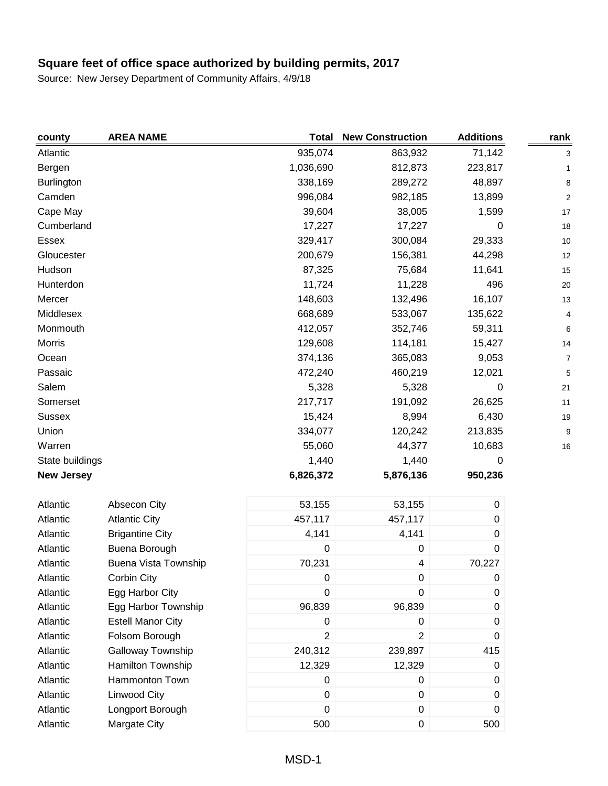| county            | <b>AREA NAME</b>            | <b>Total</b>     | <b>New Construction</b> | <b>Additions</b> | rank           |
|-------------------|-----------------------------|------------------|-------------------------|------------------|----------------|
| Atlantic          |                             | 935,074          | 863,932                 | 71,142           | 3              |
| Bergen            |                             | 1,036,690        | 812,873                 | 223,817          | 1              |
| <b>Burlington</b> |                             | 338,169          | 289,272                 | 48,897           | 8              |
| Camden            |                             | 996,084          | 982,185                 | 13,899           | $\overline{c}$ |
| Cape May          |                             | 39,604           | 38,005                  | 1,599            | 17             |
| Cumberland        |                             | 17,227           | 17,227                  | 0                | 18             |
| Essex             |                             | 329,417          | 300,084                 | 29,333           | 10             |
| Gloucester        |                             | 200,679          | 156,381                 | 44,298           | 12             |
| Hudson            |                             | 87,325           | 75,684                  | 11,641           | 15             |
| Hunterdon         |                             | 11,724           | 11,228                  | 496              | 20             |
| Mercer            |                             | 148,603          | 132,496                 | 16,107           | 13             |
| Middlesex         |                             | 668,689          | 533,067                 | 135,622          | 4              |
| Monmouth          |                             | 412,057          | 352,746                 | 59,311           | 6              |
| <b>Morris</b>     |                             | 129,608          | 114,181                 | 15,427           | 14             |
| Ocean             |                             | 374,136          | 365,083                 | 9,053            | 7              |
| Passaic           |                             | 472,240          | 460,219                 | 12,021           | 5              |
| Salem             |                             | 5,328            | 5,328                   | 0                | 21             |
| Somerset          |                             | 217,717          | 191,092                 | 26,625           | 11             |
| <b>Sussex</b>     |                             | 15,424           | 8,994                   | 6,430            | 19             |
| Union             |                             | 334,077          | 120,242                 | 213,835          | 9              |
| Warren            |                             | 55,060           | 44,377                  | 10,683           | 16             |
| State buildings   |                             | 1,440            | 1,440                   | 0                |                |
| <b>New Jersey</b> |                             | 6,826,372        | 5,876,136               | 950,236          |                |
| Atlantic          | Absecon City                | 53,155           | 53,155                  | $\pmb{0}$        |                |
| Atlantic          | <b>Atlantic City</b>        | 457,117          | 457,117                 | $\pmb{0}$        |                |
| Atlantic          | <b>Brigantine City</b>      | 4,141            | 4,141                   | 0                |                |
| Atlantic          | Buena Borough               | 0                | $\pmb{0}$               | $\boldsymbol{0}$ |                |
| Atlantic          | <b>Buena Vista Township</b> | 70,231           | 4                       | 70,227           |                |
| Atlantic          | Corbin City                 | $\boldsymbol{0}$ | $\pmb{0}$               | 0                |                |
| Atlantic          | Egg Harbor City             | 0                | 0                       | 0                |                |
| Atlantic          | Egg Harbor Township         | 96,839           | 96,839                  | 0                |                |
| Atlantic          | <b>Estell Manor City</b>    | 0                | $\pmb{0}$               | 0                |                |
| Atlantic          | Folsom Borough              | $\overline{2}$   | $\overline{c}$          | 0                |                |
| Atlantic          | Galloway Township           | 240,312          | 239,897                 | 415              |                |
| Atlantic          | Hamilton Township           | 12,329           | 12,329                  | $\boldsymbol{0}$ |                |
| Atlantic          | Hammonton Town              | 0                | 0                       | 0                |                |
| Atlantic          | Linwood City                | 0                | 0                       | 0                |                |
| Atlantic          | Longport Borough            | 0                | 0                       | $\boldsymbol{0}$ |                |
| Atlantic          | Margate City                | 500              | 0                       | 500              |                |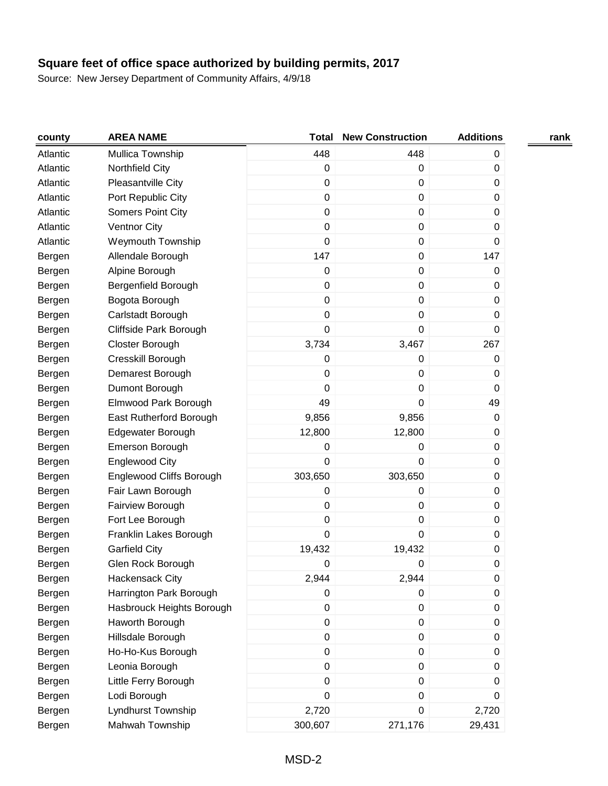| county   | <b>AREA NAME</b>          | <b>Total</b>     | <b>New Construction</b> | <b>Additions</b> | rank |
|----------|---------------------------|------------------|-------------------------|------------------|------|
| Atlantic | Mullica Township          | 448              | 448                     | 0                |      |
| Atlantic | Northfield City           | $\pmb{0}$        | 0                       | 0                |      |
| Atlantic | Pleasantville City        | $\pmb{0}$        | 0                       | 0                |      |
| Atlantic | Port Republic City        | $\pmb{0}$        | 0                       | 0                |      |
| Atlantic | <b>Somers Point City</b>  | 0                | $\mathbf 0$             | 0                |      |
| Atlantic | Ventnor City              | $\pmb{0}$        | $\mathbf 0$             | 0                |      |
| Atlantic | <b>Weymouth Township</b>  | $\pmb{0}$        | $\mathbf 0$             | 0                |      |
| Bergen   | Allendale Borough         | 147              | 0                       | 147              |      |
| Bergen   | Alpine Borough            | $\pmb{0}$        | 0                       | 0                |      |
| Bergen   | Bergenfield Borough       | $\pmb{0}$        | 0                       | $\mathbf 0$      |      |
| Bergen   | Bogota Borough            | $\pmb{0}$        | 0                       | 0                |      |
| Bergen   | Carlstadt Borough         | $\pmb{0}$        | 0                       | 0                |      |
| Bergen   | Cliffside Park Borough    | 0                | $\mathbf 0$             | 0                |      |
| Bergen   | Closter Borough           | 3,734            | 3,467                   | 267              |      |
| Bergen   | Cresskill Borough         | $\pmb{0}$        | 0                       | 0                |      |
| Bergen   | Demarest Borough          | 0                | 0                       | 0                |      |
| Bergen   | Dumont Borough            | $\Omega$         | 0                       | 0                |      |
| Bergen   | Elmwood Park Borough      | 49               | 0                       | 49               |      |
| Bergen   | East Rutherford Borough   | 9,856            | 9,856                   | $\mathbf 0$      |      |
| Bergen   | Edgewater Borough         | 12,800           | 12,800                  | 0                |      |
| Bergen   | <b>Emerson Borough</b>    | $\pmb{0}$        | 0                       | $\mathbf 0$      |      |
| Bergen   | <b>Englewood City</b>     | $\pmb{0}$        | 0                       | 0                |      |
| Bergen   | Englewood Cliffs Borough  | 303,650          | 303,650                 | 0                |      |
| Bergen   | Fair Lawn Borough         | $\pmb{0}$        | 0                       | 0                |      |
| Bergen   | Fairview Borough          | $\pmb{0}$        | 0                       | 0                |      |
| Bergen   | Fort Lee Borough          | 0                | 0                       | 0                |      |
| Bergen   | Franklin Lakes Borough    | 0                | $\mathbf 0$             | 0                |      |
| Bergen   | <b>Garfield City</b>      | 19,432           | 19,432                  | $\pmb{0}$        |      |
| Bergen   | Glen Rock Borough         | 0                | 0                       | 0                |      |
| Bergen   | <b>Hackensack City</b>    | 2,944            | 2,944                   | 0                |      |
| Bergen   | Harrington Park Borough   | $\boldsymbol{0}$ | 0                       | 0                |      |
| Bergen   | Hasbrouck Heights Borough | $\pmb{0}$        | $\mathbf 0$             | 0                |      |
| Bergen   | Haworth Borough           | $\pmb{0}$        | $\pmb{0}$               | 0                |      |
| Bergen   | Hillsdale Borough         | $\pmb{0}$        | $\mathbf 0$             | $\mathbf 0$      |      |
| Bergen   | Ho-Ho-Kus Borough         | $\pmb{0}$        | $\pmb{0}$               | 0                |      |
| Bergen   | Leonia Borough            | $\pmb{0}$        | 0                       | 0                |      |
| Bergen   | Little Ferry Borough      | $\pmb{0}$        | 0                       | 0                |      |
| Bergen   | Lodi Borough              | 0                | 0                       | 0                |      |
| Bergen   | Lyndhurst Township        | 2,720            | 0                       | 2,720            |      |
| Bergen   | Mahwah Township           | 300,607          | 271,176                 | 29,431           |      |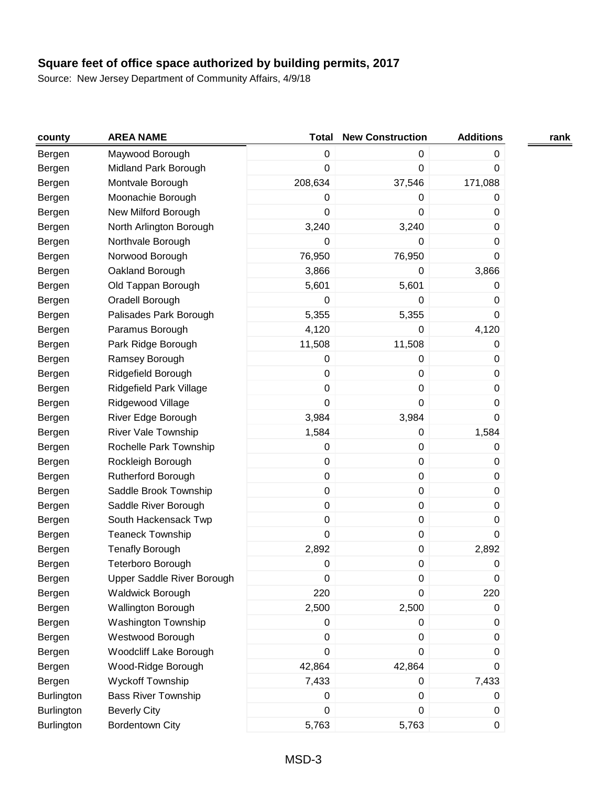| county            | <b>AREA NAME</b>           | <b>Total</b>     | <b>New Construction</b> | <b>Additions</b> | rank |
|-------------------|----------------------------|------------------|-------------------------|------------------|------|
| Bergen            | Maywood Borough            | $\pmb{0}$        | 0                       | 0                |      |
| Bergen            | Midland Park Borough       | $\pmb{0}$        | 0                       | $\boldsymbol{0}$ |      |
| Bergen            | Montvale Borough           | 208,634          | 37,546                  | 171,088          |      |
| Bergen            | Moonachie Borough          | 0                | 0                       | 0                |      |
| Bergen            | New Milford Borough        | $\boldsymbol{0}$ | 0                       | 0                |      |
| Bergen            | North Arlington Borough    | 3,240            | 3,240                   | $\boldsymbol{0}$ |      |
| Bergen            | Northvale Borough          | 0                | 0                       | $\boldsymbol{0}$ |      |
| Bergen            | Norwood Borough            | 76,950           | 76,950                  | 0                |      |
| Bergen            | Oakland Borough            | 3,866            | 0                       | 3,866            |      |
| Bergen            | Old Tappan Borough         | 5,601            | 5,601                   | $\boldsymbol{0}$ |      |
| Bergen            | Oradell Borough            | 0                | 0                       | $\boldsymbol{0}$ |      |
| Bergen            | Palisades Park Borough     | 5,355            | 5,355                   | $\boldsymbol{0}$ |      |
| Bergen            | Paramus Borough            | 4,120            | 0                       | 4,120            |      |
| Bergen            | Park Ridge Borough         | 11,508           | 11,508                  | $\boldsymbol{0}$ |      |
| Bergen            | Ramsey Borough             | 0                | 0                       | $\boldsymbol{0}$ |      |
| Bergen            | Ridgefield Borough         | $\pmb{0}$        | 0                       | 0                |      |
| Bergen            | Ridgefield Park Village    | $\pmb{0}$        | $\mathsf 0$             | $\boldsymbol{0}$ |      |
| Bergen            | Ridgewood Village          | $\boldsymbol{0}$ | 0                       | 0                |      |
| Bergen            | River Edge Borough         | 3,984            | 3,984                   | $\mathbf 0$      |      |
| Bergen            | River Vale Township        | 1,584            | 0                       | 1,584            |      |
| Bergen            | Rochelle Park Township     | $\boldsymbol{0}$ | 0                       | $\boldsymbol{0}$ |      |
| Bergen            | Rockleigh Borough          | $\mathbf 0$      | 0                       | 0                |      |
| Bergen            | <b>Rutherford Borough</b>  | $\pmb{0}$        | 0                       | $\boldsymbol{0}$ |      |
| Bergen            | Saddle Brook Township      | $\pmb{0}$        | 0                       | 0                |      |
| Bergen            | Saddle River Borough       | $\pmb{0}$        | 0                       | 0                |      |
| Bergen            | South Hackensack Twp       | $\pmb{0}$        | $\mathsf 0$             | $\pmb{0}$        |      |
| Bergen            | <b>Teaneck Township</b>    | $\mathbf 0$      | 0                       | 0                |      |
| Bergen            | <b>Tenafly Borough</b>     | 2,892            | 0                       | 2,892            |      |
| Bergen            | Teterboro Borough          | 0                | 0                       | 0                |      |
| Bergen            | Upper Saddle River Borough | 0                | $\pmb{0}$               | 0                |      |
| Bergen            | <b>Waldwick Borough</b>    | 220              | 0                       | 220              |      |
| Bergen            | Wallington Borough         | 2,500            | 2,500                   | $\boldsymbol{0}$ |      |
| Bergen            | Washington Township        | $\boldsymbol{0}$ | 0                       | $\boldsymbol{0}$ |      |
| Bergen            | Westwood Borough           | $\pmb{0}$        | 0                       | $\boldsymbol{0}$ |      |
| Bergen            | Woodcliff Lake Borough     | $\pmb{0}$        | 0                       | $\boldsymbol{0}$ |      |
| Bergen            | Wood-Ridge Borough         | 42,864           | 42,864                  | 0                |      |
| Bergen            | <b>Wyckoff Township</b>    | 7,433            | 0                       | 7,433            |      |
| Burlington        | <b>Bass River Township</b> | $\pmb{0}$        | 0                       | 0                |      |
| <b>Burlington</b> | <b>Beverly City</b>        | $\pmb{0}$        | 0                       | $\pmb{0}$        |      |
| Burlington        | <b>Bordentown City</b>     | 5,763            | 5,763                   | $\pmb{0}$        |      |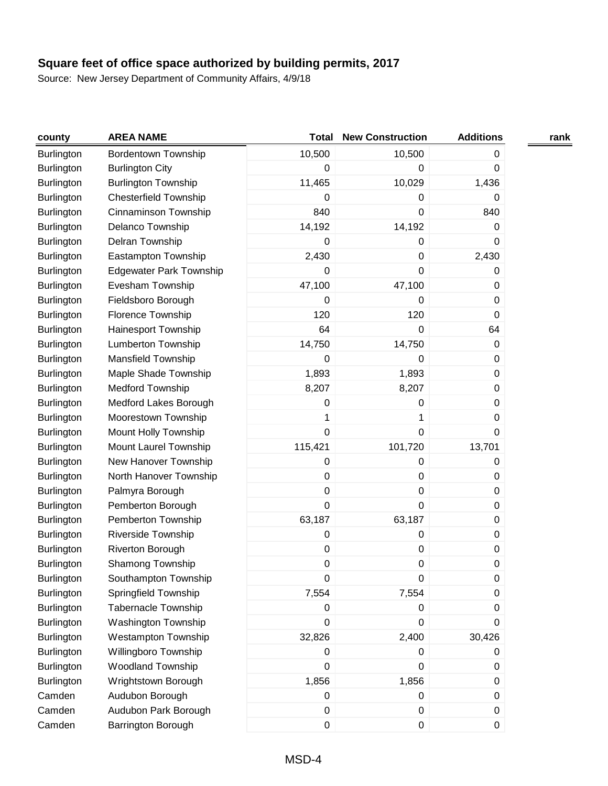| county            | <b>AREA NAME</b>               | <b>Total</b>     | <b>New Construction</b> | <b>Additions</b> | rank |
|-------------------|--------------------------------|------------------|-------------------------|------------------|------|
| Burlington        | <b>Bordentown Township</b>     | 10,500           | 10,500                  | 0                |      |
| <b>Burlington</b> | <b>Burlington City</b>         | 0                | 0                       | 0                |      |
| <b>Burlington</b> | <b>Burlington Township</b>     | 11,465           | 10,029                  | 1,436            |      |
| <b>Burlington</b> | <b>Chesterfield Township</b>   | 0                | 0                       | 0                |      |
| <b>Burlington</b> | Cinnaminson Township           | 840              | 0                       | 840              |      |
| <b>Burlington</b> | Delanco Township               | 14,192           | 14,192                  | 0                |      |
| <b>Burlington</b> | Delran Township                | 0                | 0                       | 0                |      |
| <b>Burlington</b> | Eastampton Township            | 2,430            | 0                       | 2,430            |      |
| <b>Burlington</b> | <b>Edgewater Park Township</b> | 0                | 0                       | 0                |      |
| <b>Burlington</b> | Evesham Township               | 47,100           | 47,100                  | 0                |      |
| <b>Burlington</b> | Fieldsboro Borough             | 0                | 0                       | 0                |      |
| <b>Burlington</b> | Florence Township              | 120              | 120                     | 0                |      |
| <b>Burlington</b> | Hainesport Township            | 64               | 0                       | 64               |      |
| <b>Burlington</b> | <b>Lumberton Township</b>      | 14,750           | 14,750                  | $\boldsymbol{0}$ |      |
| <b>Burlington</b> | <b>Mansfield Township</b>      | 0                | 0                       | 0                |      |
| <b>Burlington</b> | Maple Shade Township           | 1,893            | 1,893                   | 0                |      |
| <b>Burlington</b> | Medford Township               | 8,207            | 8,207                   | $\boldsymbol{0}$ |      |
| <b>Burlington</b> | Medford Lakes Borough          | 0                | 0                       | 0                |      |
| <b>Burlington</b> | Moorestown Township            | 1                | 1                       | 0                |      |
| <b>Burlington</b> | Mount Holly Township           | 0                | 0                       | 0                |      |
| <b>Burlington</b> | Mount Laurel Township          | 115,421          | 101,720                 | 13,701           |      |
| <b>Burlington</b> | New Hanover Township           | 0                | 0                       | 0                |      |
| Burlington        | North Hanover Township         | $\boldsymbol{0}$ | 0                       | 0                |      |
| <b>Burlington</b> | Palmyra Borough                | 0                | 0                       | 0                |      |
| <b>Burlington</b> | Pemberton Borough              | 0                | 0                       | 0                |      |
| <b>Burlington</b> | Pemberton Township             | 63,187           | 63,187                  | $\pmb{0}$        |      |
| <b>Burlington</b> | Riverside Township             | 0                | 0                       | 0                |      |
| <b>Burlington</b> | Riverton Borough               | 0                | 0                       | $\pmb{0}$        |      |
| <b>Burlington</b> | Shamong Township               | 0                | 0                       | $\mathbf 0$      |      |
| <b>Burlington</b> | Southampton Township           | 0                | 0                       | $\pmb{0}$        |      |
| <b>Burlington</b> | Springfield Township           | 7,554            | 7,554                   | 0                |      |
| Burlington        | <b>Tabernacle Township</b>     | 0                | 0                       | 0                |      |
| <b>Burlington</b> | <b>Washington Township</b>     | 0                | 0                       | 0                |      |
| <b>Burlington</b> | <b>Westampton Township</b>     | 32,826           | 2,400                   | 30,426           |      |
| <b>Burlington</b> | Willingboro Township           | 0                | 0                       | 0                |      |
| <b>Burlington</b> | Woodland Township              | 0                | 0                       | 0                |      |
| <b>Burlington</b> | Wrightstown Borough            | 1,856            | 1,856                   | $\pmb{0}$        |      |
| Camden            | Audubon Borough                | 0                | $\pmb{0}$               | $\mathbf 0$      |      |
| Camden            | Audubon Park Borough           | 0                | 0                       | $\pmb{0}$        |      |
| Camden            | Barrington Borough             | $\boldsymbol{0}$ | 0                       | $\pmb{0}$        |      |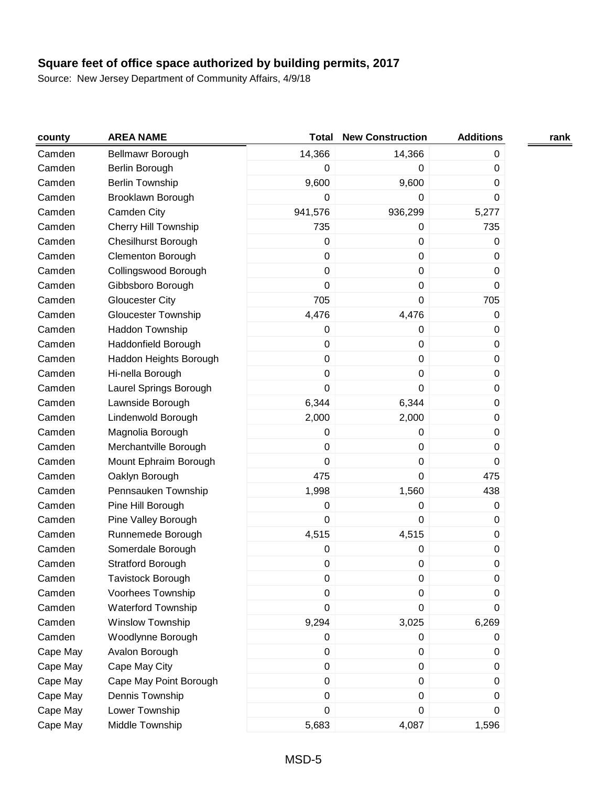| county   | <b>AREA NAME</b>            | <b>Total</b>     | <b>New Construction</b> | <b>Additions</b> | rank |
|----------|-----------------------------|------------------|-------------------------|------------------|------|
| Camden   | Bellmawr Borough            | 14,366           | 14,366                  | 0                |      |
| Camden   | Berlin Borough              | 0                | $\pmb{0}$               | $\boldsymbol{0}$ |      |
| Camden   | <b>Berlin Township</b>      | 9,600            | 9,600                   | 0                |      |
| Camden   | Brooklawn Borough           | 0                | 0                       | 0                |      |
| Camden   | Camden City                 | 941,576          | 936,299                 | 5,277            |      |
| Camden   | <b>Cherry Hill Township</b> | 735              | $\pmb{0}$               | 735              |      |
| Camden   | <b>Chesilhurst Borough</b>  | 0                | 0                       | 0                |      |
| Camden   | <b>Clementon Borough</b>    | $\pmb{0}$        | $\pmb{0}$               | $\boldsymbol{0}$ |      |
| Camden   | Collingswood Borough        | $\pmb{0}$        | $\pmb{0}$               | 0                |      |
| Camden   | Gibbsboro Borough           | $\mathbf 0$      | $\pmb{0}$               | 0                |      |
| Camden   | <b>Gloucester City</b>      | 705              | 0                       | 705              |      |
| Camden   | <b>Gloucester Township</b>  | 4,476            | 4,476                   | 0                |      |
| Camden   | Haddon Township             | 0                | 0                       | $\pmb{0}$        |      |
| Camden   | Haddonfield Borough         | $\boldsymbol{0}$ | $\pmb{0}$               | 0                |      |
| Camden   | Haddon Heights Borough      | $\pmb{0}$        | $\pmb{0}$               | $\boldsymbol{0}$ |      |
| Camden   | Hi-nella Borough            | $\pmb{0}$        | $\pmb{0}$               | 0                |      |
| Camden   | Laurel Springs Borough      | $\mathbf 0$      | 0                       | 0                |      |
| Camden   | Lawnside Borough            | 6,344            | 6,344                   | 0                |      |
| Camden   | Lindenwold Borough          | 2,000            | 2,000                   | 0                |      |
| Camden   | Magnolia Borough            | 0                | 0                       | 0                |      |
| Camden   | Merchantville Borough       | $\pmb{0}$        | $\pmb{0}$               | $\boldsymbol{0}$ |      |
| Camden   | Mount Ephraim Borough       | $\mathbf 0$      | 0                       | 0                |      |
| Camden   | Oaklyn Borough              | 475              | 0                       | 475              |      |
| Camden   | Pennsauken Township         | 1,998            | 1,560                   | 438              |      |
| Camden   | Pine Hill Borough           | $\pmb{0}$        | $\pmb{0}$               | 0                |      |
| Camden   | Pine Valley Borough         | $\pmb{0}$        | $\pmb{0}$               | 0                |      |
| Camden   | Runnemede Borough           | 4,515            | 4,515                   | $\boldsymbol{0}$ |      |
| Camden   | Somerdale Borough           | $\pmb{0}$        | 0                       | $\pmb{0}$        |      |
| Camden   | Stratford Borough           | 0                | $\pmb{0}$               | 0                |      |
| Camden   | Tavistock Borough           | 0                | 0                       | 0                |      |
| Camden   | Voorhees Township           | $\pmb{0}$        | 0                       | 0                |      |
| Camden   | <b>Waterford Township</b>   | $\pmb{0}$        | 0                       | 0                |      |
| Camden   | Winslow Township            | 9,294            | 3,025                   | 6,269            |      |
| Camden   | Woodlynne Borough           | $\pmb{0}$        | $\pmb{0}$               | $\boldsymbol{0}$ |      |
| Cape May | Avalon Borough              | $\pmb{0}$        | 0                       | 0                |      |
| Cape May | Cape May City               | $\pmb{0}$        | $\pmb{0}$               | 0                |      |
| Cape May | Cape May Point Borough      | $\pmb{0}$        | 0                       | 0                |      |
| Cape May | Dennis Township             | $\pmb{0}$        | $\pmb{0}$               | 0                |      |
| Cape May | Lower Township              | $\mathbf 0$      | $\pmb{0}$               | 0                |      |
| Cape May | Middle Township             | 5,683            | 4,087                   | 1,596            |      |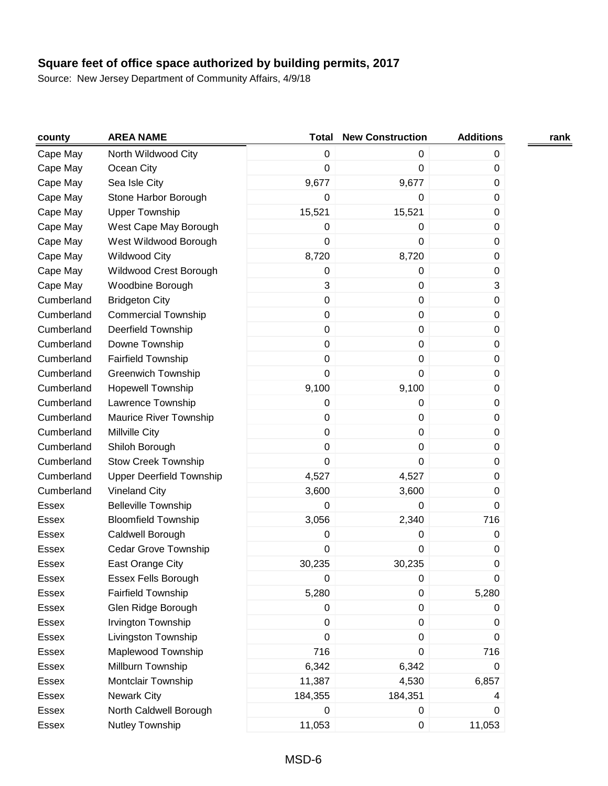| county       | <b>AREA NAME</b>                | <b>Total</b>     | <b>New Construction</b> | <b>Additions</b> | rank |
|--------------|---------------------------------|------------------|-------------------------|------------------|------|
| Cape May     | North Wildwood City             | $\pmb{0}$        | 0                       | $\mathbf 0$      |      |
| Cape May     | Ocean City                      | $\boldsymbol{0}$ | $\pmb{0}$               | $\boldsymbol{0}$ |      |
| Cape May     | Sea Isle City                   | 9,677            | 9,677                   | 0                |      |
| Cape May     | Stone Harbor Borough            | $\boldsymbol{0}$ | $\pmb{0}$               | $\boldsymbol{0}$ |      |
| Cape May     | <b>Upper Township</b>           | 15,521           | 15,521                  | 0                |      |
| Cape May     | West Cape May Borough           | $\boldsymbol{0}$ | 0                       | $\boldsymbol{0}$ |      |
| Cape May     | West Wildwood Borough           | 0                | $\mathbf 0$             | 0                |      |
| Cape May     | <b>Wildwood City</b>            | 8,720            | 8,720                   | $\boldsymbol{0}$ |      |
| Cape May     | Wildwood Crest Borough          | $\pmb{0}$        | 0                       | 0                |      |
| Cape May     | Woodbine Borough                | 3                | $\mathbf 0$             | 3                |      |
| Cumberland   | <b>Bridgeton City</b>           | $\mathbf 0$      | 0                       | 0                |      |
| Cumberland   | <b>Commercial Township</b>      | $\mathsf 0$      | $\pmb{0}$               | 0                |      |
| Cumberland   | Deerfield Township              | $\pmb{0}$        | $\pmb{0}$               | 0                |      |
| Cumberland   | Downe Township                  | $\mathsf 0$      | $\pmb{0}$               | 0                |      |
| Cumberland   | <b>Fairfield Township</b>       | $\pmb{0}$        | $\pmb{0}$               | $\boldsymbol{0}$ |      |
| Cumberland   | <b>Greenwich Township</b>       | 0                | $\mathbf 0$             | 0                |      |
| Cumberland   | <b>Hopewell Township</b>        | 9,100            | 9,100                   | $\boldsymbol{0}$ |      |
| Cumberland   | Lawrence Township               | $\boldsymbol{0}$ | $\pmb{0}$               | 0                |      |
| Cumberland   | Maurice River Township          | $\pmb{0}$        | $\pmb{0}$               | $\boldsymbol{0}$ |      |
| Cumberland   | Millville City                  | $\mathbf 0$      | $\pmb{0}$               | 0                |      |
| Cumberland   | Shiloh Borough                  | $\mathbf 0$      | $\pmb{0}$               | $\boldsymbol{0}$ |      |
| Cumberland   | <b>Stow Creek Township</b>      | 0                | $\mathbf 0$             | 0                |      |
| Cumberland   | <b>Upper Deerfield Township</b> | 4,527            | 4,527                   | 0                |      |
| Cumberland   | <b>Vineland City</b>            | 3,600            | 3,600                   | $\boldsymbol{0}$ |      |
| <b>Essex</b> | <b>Belleville Township</b>      | $\boldsymbol{0}$ | 0                       | 0                |      |
| Essex        | <b>Bloomfield Township</b>      | 3,056            | 2,340                   | 716              |      |
| Essex        | Caldwell Borough                | $\boldsymbol{0}$ | $\pmb{0}$               | $\boldsymbol{0}$ |      |
| <b>Essex</b> | Cedar Grove Township            | 0                | $\pmb{0}$               | $\boldsymbol{0}$ |      |
| <b>Essex</b> | East Orange City                | 30,235           | 30,235                  | $\boldsymbol{0}$ |      |
| Essex        | <b>Essex Fells Borough</b>      | $\mathbf 0$      | 0                       | 0                |      |
| Essex        | <b>Fairfield Township</b>       | 5,280            | 0                       | 5,280            |      |
| Essex        | Glen Ridge Borough              | $\mathbf 0$      | $\pmb{0}$               | 0                |      |
| Essex        | Irvington Township              | $\boldsymbol{0}$ | $\pmb{0}$               | 0                |      |
| Essex        | Livingston Township             | $\mathbf 0$      | $\pmb{0}$               | 0                |      |
| Essex        | Maplewood Township              | 716              | 0                       | 716              |      |
| <b>Essex</b> | Millburn Township               | 6,342            | 6,342                   | 0                |      |
| Essex        | Montclair Township              | 11,387           | 4,530                   | 6,857            |      |
| Essex        | <b>Newark City</b>              | 184,355          | 184,351                 | 4                |      |
| Essex        | North Caldwell Borough          | 0                | 0                       | $\boldsymbol{0}$ |      |
| Essex        | Nutley Township                 | 11,053           | $\pmb{0}$               | 11,053           |      |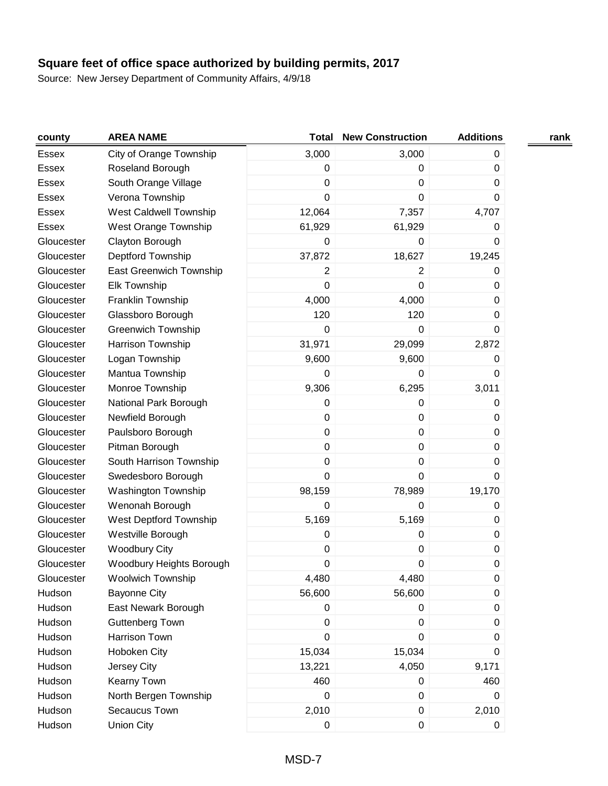| county       | <b>AREA NAME</b>            | <b>Total</b>     | <b>New Construction</b> | <b>Additions</b> | rank |
|--------------|-----------------------------|------------------|-------------------------|------------------|------|
| Essex        | City of Orange Township     | 3,000            | 3,000                   | $\mathbf 0$      |      |
| <b>Essex</b> | Roseland Borough            | $\pmb{0}$        | 0                       | $\boldsymbol{0}$ |      |
| Essex        | South Orange Village        | 0                | $\mathbf 0$             | 0                |      |
| <b>Essex</b> | Verona Township             | $\mathbf 0$      | $\mathbf 0$             | 0                |      |
| Essex        | West Caldwell Township      | 12,064           | 7,357                   | 4,707            |      |
| Essex        | <b>West Orange Township</b> | 61,929           | 61,929                  | 0                |      |
| Gloucester   | Clayton Borough             | 0                | 0                       | 0                |      |
| Gloucester   | Deptford Township           | 37,872           | 18,627                  | 19,245           |      |
| Gloucester   | East Greenwich Township     | 2                | 2                       | 0                |      |
| Gloucester   | <b>Elk Township</b>         | $\mathbf 0$      | $\pmb{0}$               | 0                |      |
| Gloucester   | Franklin Township           | 4,000            | 4,000                   | 0                |      |
| Gloucester   | Glassboro Borough           | 120              | 120                     | 0                |      |
| Gloucester   | <b>Greenwich Township</b>   | $\boldsymbol{0}$ | $\pmb{0}$               | $\mathbf 0$      |      |
| Gloucester   | Harrison Township           | 31,971           | 29,099                  | 2,872            |      |
| Gloucester   | Logan Township              | 9,600            | 9,600                   | $\boldsymbol{0}$ |      |
| Gloucester   | Mantua Township             | 0                | $\Omega$                | 0                |      |
| Gloucester   | Monroe Township             | 9,306            | 6,295                   | 3,011            |      |
| Gloucester   | National Park Borough       | $\boldsymbol{0}$ | $\pmb{0}$               | $\boldsymbol{0}$ |      |
| Gloucester   | Newfield Borough            | $\mathbf 0$      | $\mathbf 0$             | 0                |      |
| Gloucester   | Paulsboro Borough           | $\mathbf 0$      | 0                       | 0                |      |
| Gloucester   | Pitman Borough              | $\mathbf 0$      | $\pmb{0}$               | 0                |      |
| Gloucester   | South Harrison Township     | $\pmb{0}$        | $\pmb{0}$               | 0                |      |
| Gloucester   | Swedesboro Borough          | $\mathbf 0$      | $\mathbf 0$             | 0                |      |
| Gloucester   | Washington Township         | 98,159           | 78,989                  | 19,170           |      |
| Gloucester   | Wenonah Borough             | $\boldsymbol{0}$ | $\mathbf 0$             | 0                |      |
| Gloucester   | West Deptford Township      | 5,169            | 5,169                   | $\boldsymbol{0}$ |      |
| Gloucester   | Westville Borough           | $\boldsymbol{0}$ | $\pmb{0}$               | $\boldsymbol{0}$ |      |
| Gloucester   | <b>Woodbury City</b>        | $\pmb{0}$        | $\pmb{0}$               | $\boldsymbol{0}$ |      |
| Gloucester   | Woodbury Heights Borough    | $\boldsymbol{0}$ | $\pmb{0}$               | $\boldsymbol{0}$ |      |
| Gloucester   | <b>Woolwich Township</b>    | 4,480            | 4,480                   | 0                |      |
| Hudson       | <b>Bayonne City</b>         | 56,600           | 56,600                  | 0                |      |
| Hudson       | East Newark Borough         | $\mathbf 0$      | $\pmb{0}$               | 0                |      |
| Hudson       | Guttenberg Town             | $\mathbf 0$      | 0                       | 0                |      |
| Hudson       | Harrison Town               | $\pmb{0}$        | 0                       | 0                |      |
| Hudson       | <b>Hoboken City</b>         | 15,034           | 15,034                  | $\boldsymbol{0}$ |      |
| Hudson       | Jersey City                 | 13,221           | 4,050                   | 9,171            |      |
| Hudson       | Kearny Town                 | 460              | 0                       | 460              |      |
| Hudson       | North Bergen Township       | $\boldsymbol{0}$ | $\pmb{0}$               | 0                |      |
| Hudson       | Secaucus Town               | 2,010            | $\pmb{0}$               | 2,010            |      |
| Hudson       | <b>Union City</b>           | $\pmb{0}$        | $\pmb{0}$               | $\mathbf 0$      |      |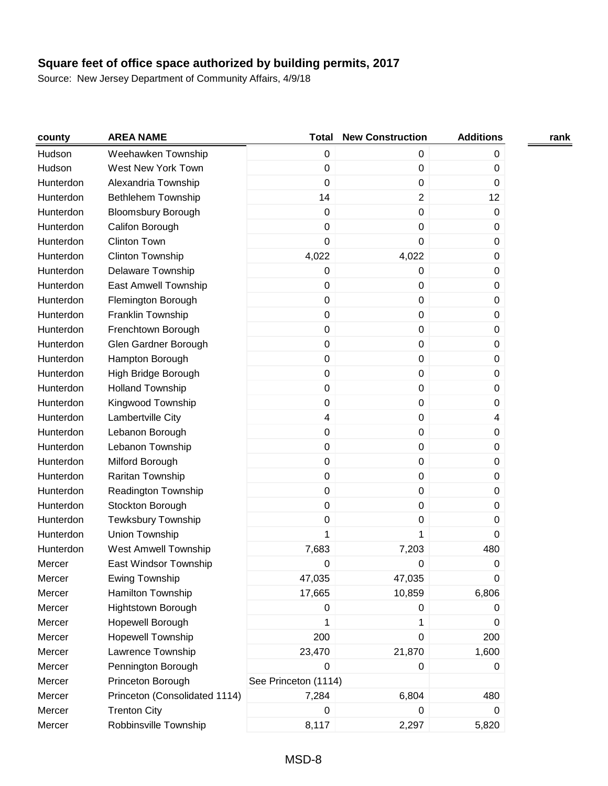| county    | <b>AREA NAME</b>              | <b>Total</b>         | <b>New Construction</b> | <b>Additions</b> | rank |
|-----------|-------------------------------|----------------------|-------------------------|------------------|------|
| Hudson    | Weehawken Township            | $\boldsymbol{0}$     | 0                       | 0                |      |
| Hudson    | West New York Town            | $\boldsymbol{0}$     | $\pmb{0}$               | $\boldsymbol{0}$ |      |
| Hunterdon | Alexandria Township           | 0                    | $\mathbf 0$             | $\Omega$         |      |
| Hunterdon | <b>Bethlehem Township</b>     | 14                   | $\overline{2}$          | 12               |      |
| Hunterdon | <b>Bloomsbury Borough</b>     | $\mathbf 0$          | $\pmb{0}$               | 0                |      |
| Hunterdon | Califon Borough               | $\mathbf 0$          | 0                       | 0                |      |
| Hunterdon | <b>Clinton Town</b>           | 0                    | $\pmb{0}$               | 0                |      |
| Hunterdon | Clinton Township              | 4,022                | 4,022                   | 0                |      |
| Hunterdon | Delaware Township             | $\pmb{0}$            | 0                       | $\boldsymbol{0}$ |      |
| Hunterdon | <b>East Amwell Township</b>   | $\boldsymbol{0}$     | $\pmb{0}$               | $\boldsymbol{0}$ |      |
| Hunterdon | Flemington Borough            | $\mathbf 0$          | $\pmb{0}$               | 0                |      |
| Hunterdon | Franklin Township             | $\boldsymbol{0}$     | $\pmb{0}$               | 0                |      |
| Hunterdon | Frenchtown Borough            | $\boldsymbol{0}$     | $\pmb{0}$               | $\boldsymbol{0}$ |      |
| Hunterdon | Glen Gardner Borough          | $\boldsymbol{0}$     | $\pmb{0}$               | 0                |      |
| Hunterdon | Hampton Borough               | $\boldsymbol{0}$     | $\pmb{0}$               | $\boldsymbol{0}$ |      |
| Hunterdon | High Bridge Borough           | $\boldsymbol{0}$     | $\pmb{0}$               | 0                |      |
| Hunterdon | <b>Holland Township</b>       | $\mathbf 0$          | $\mathbf 0$             | 0                |      |
| Hunterdon | Kingwood Township             | $\boldsymbol{0}$     | $\pmb{0}$               | 0                |      |
| Hunterdon | Lambertville City             | 4                    | $\pmb{0}$               | 4                |      |
| Hunterdon | Lebanon Borough               | $\boldsymbol{0}$     | $\pmb{0}$               | 0                |      |
| Hunterdon | Lebanon Township              | $\boldsymbol{0}$     | $\pmb{0}$               | 0                |      |
| Hunterdon | Milford Borough               | $\boldsymbol{0}$     | $\pmb{0}$               | $\boldsymbol{0}$ |      |
| Hunterdon | Raritan Township              | $\boldsymbol{0}$     | $\pmb{0}$               | $\boldsymbol{0}$ |      |
| Hunterdon | Readington Township           | $\mathbf 0$          | $\pmb{0}$               | 0                |      |
| Hunterdon | Stockton Borough              | $\mathbf 0$          | $\pmb{0}$               | 0                |      |
| Hunterdon | <b>Tewksbury Township</b>     | $\boldsymbol{0}$     | $\pmb{0}$               | $\boldsymbol{0}$ |      |
| Hunterdon | Union Township                | 1                    | 1                       | 0                |      |
| Hunterdon | West Amwell Township          | 7,683                | 7,203                   | 480              |      |
| Mercer    | East Windsor Township         | 0                    | 0                       | 0                |      |
| Mercer    | <b>Ewing Township</b>         | 47,035               | 47,035                  | 0                |      |
| Mercer    | Hamilton Township             | 17,665               | 10,859                  | 6,806            |      |
| Mercer    | <b>Hightstown Borough</b>     | $\pmb{0}$            | 0                       | $\boldsymbol{0}$ |      |
| Mercer    | Hopewell Borough              | 1                    | 1                       | 0                |      |
| Mercer    | <b>Hopewell Township</b>      | 200                  | $\pmb{0}$               | 200              |      |
| Mercer    | Lawrence Township             | 23,470               | 21,870                  | 1,600            |      |
| Mercer    | Pennington Borough            | 0                    | 0                       | 0                |      |
| Mercer    | Princeton Borough             | See Princeton (1114) |                         |                  |      |
| Mercer    | Princeton (Consolidated 1114) | 7,284                | 6,804                   | 480              |      |
| Mercer    | <b>Trenton City</b>           | $\pmb{0}$            | 0                       | 0                |      |
| Mercer    | Robbinsville Township         | 8,117                | 2,297                   | 5,820            |      |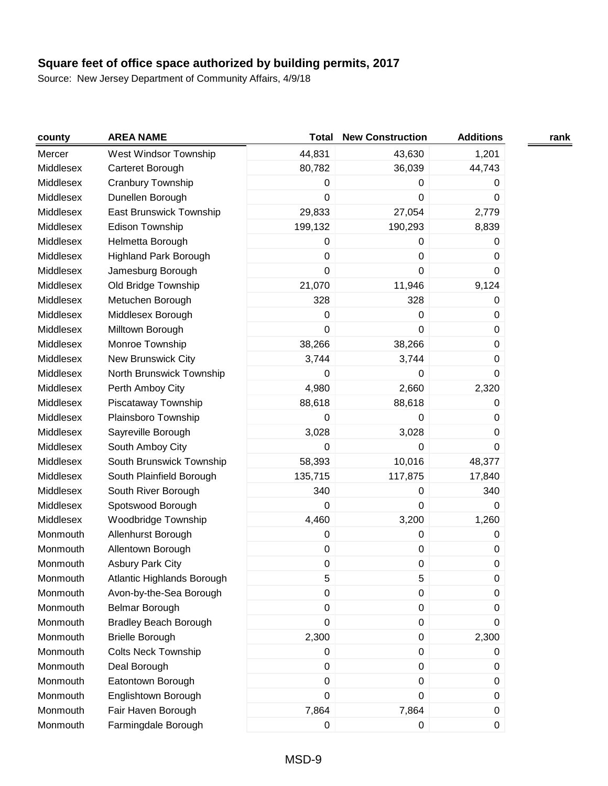| county    | <b>AREA NAME</b>             | <b>Total</b> | <b>New Construction</b> | <b>Additions</b> | rank |
|-----------|------------------------------|--------------|-------------------------|------------------|------|
| Mercer    | West Windsor Township        | 44,831       | 43,630                  | 1,201            |      |
| Middlesex | Carteret Borough             | 80,782       | 36,039                  | 44,743           |      |
| Middlesex | Cranbury Township            | 0            | 0                       | 0                |      |
| Middlesex | Dunellen Borough             | 0            | $\mathbf 0$             | 0                |      |
| Middlesex | East Brunswick Township      | 29,833       | 27,054                  | 2,779            |      |
| Middlesex | Edison Township              | 199,132      | 190,293                 | 8,839            |      |
| Middlesex | Helmetta Borough             | 0            | 0                       | 0                |      |
| Middlesex | <b>Highland Park Borough</b> | $\mathbf 0$  | 0                       | 0                |      |
| Middlesex | Jamesburg Borough            | $\pmb{0}$    | $\pmb{0}$               | 0                |      |
| Middlesex | Old Bridge Township          | 21,070       | 11,946                  | 9,124            |      |
| Middlesex | Metuchen Borough             | 328          | 328                     | 0                |      |
| Middlesex | Middlesex Borough            | $\mathbf 0$  | $\mathbf 0$             | 0                |      |
| Middlesex | Milltown Borough             | 0            | $\pmb{0}$               | $\mathbf 0$      |      |
| Middlesex | Monroe Township              | 38,266       | 38,266                  | 0                |      |
| Middlesex | <b>New Brunswick City</b>    | 3,744        | 3,744                   | $\boldsymbol{0}$ |      |
| Middlesex | North Brunswick Township     | 0            | 0                       | 0                |      |
| Middlesex | Perth Amboy City             | 4,980        | 2,660                   | 2,320            |      |
| Middlesex | Piscataway Township          | 88,618       | 88,618                  | 0                |      |
| Middlesex | Plainsboro Township          | 0            | $\mathbf 0$             | 0                |      |
| Middlesex | Sayreville Borough           | 3,028        | 3,028                   | 0                |      |
| Middlesex | South Amboy City             | 0            | 0                       | 0                |      |
| Middlesex | South Brunswick Township     | 58,393       | 10,016                  | 48,377           |      |
| Middlesex | South Plainfield Borough     | 135,715      | 117,875                 | 17,840           |      |
| Middlesex | South River Borough          | 340          | 0                       | 340              |      |
| Middlesex | Spotswood Borough            | 0            | $\mathbf 0$             | $\Omega$         |      |
| Middlesex | Woodbridge Township          | 4,460        | 3,200                   | 1,260            |      |
| Monmouth  | Allenhurst Borough           | 0            | $\pmb{0}$               | $\boldsymbol{0}$ |      |
| Monmouth  | Allentown Borough            | 0            | $\pmb{0}$               | 0                |      |
| Monmouth  | <b>Asbury Park City</b>      | 0            | $\pmb{0}$               | $\boldsymbol{0}$ |      |
| Monmouth  | Atlantic Highlands Borough   | 5            | 5                       | 0                |      |
| Monmouth  | Avon-by-the-Sea Borough      | 0            | 0                       | 0                |      |
| Monmouth  | Belmar Borough               | 0            | $\pmb{0}$               | 0                |      |
| Monmouth  | <b>Bradley Beach Borough</b> | 0            | 0                       | 0                |      |
| Monmouth  | <b>Brielle Borough</b>       | 2,300        | 0                       | 2,300            |      |
| Monmouth  | <b>Colts Neck Township</b>   | 0            | $\pmb{0}$               | 0                |      |
| Monmouth  | Deal Borough                 | $\pmb{0}$    | $\pmb{0}$               | 0                |      |
| Monmouth  | Eatontown Borough            | 0            | $\pmb{0}$               | 0                |      |
| Monmouth  | Englishtown Borough          | 0            | $\pmb{0}$               | 0                |      |
| Monmouth  | Fair Haven Borough           | 7,864        | 7,864                   | $\pmb{0}$        |      |
| Monmouth  | Farmingdale Borough          | 0            | 0                       | $\pmb{0}$        |      |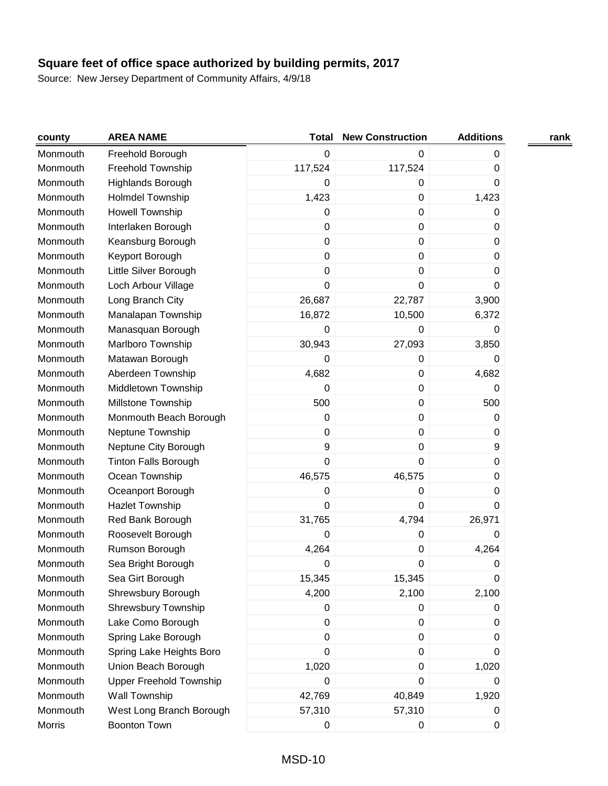| county   | <b>AREA NAME</b>               | <b>Total</b>     | <b>New Construction</b> | <b>Additions</b> | rank |
|----------|--------------------------------|------------------|-------------------------|------------------|------|
| Monmouth | Freehold Borough               | $\mathbf 0$      | 0                       | 0                |      |
| Monmouth | Freehold Township              | 117,524          | 117,524                 | $\pmb{0}$        |      |
| Monmouth | Highlands Borough              | 0                | 0                       | 0                |      |
| Monmouth | <b>Holmdel Township</b>        | 1,423            | $\pmb{0}$               | 1,423            |      |
| Monmouth | Howell Township                | $\boldsymbol{0}$ | $\pmb{0}$               | 0                |      |
| Monmouth | Interlaken Borough             | $\boldsymbol{0}$ | $\pmb{0}$               | 0                |      |
| Monmouth | Keansburg Borough              | $\mathbf 0$      | $\pmb{0}$               | 0                |      |
| Monmouth | Keyport Borough                | $\mathbf 0$      | $\pmb{0}$               | 0                |      |
| Monmouth | Little Silver Borough          | $\mathbf 0$      | $\pmb{0}$               | 0                |      |
| Monmouth | Loch Arbour Village            | $\mathbf 0$      | $\pmb{0}$               | 0                |      |
| Monmouth | Long Branch City               | 26,687           | 22,787                  | 3,900            |      |
| Monmouth | Manalapan Township             | 16,872           | 10,500                  | 6,372            |      |
| Monmouth | Manasquan Borough              | $\boldsymbol{0}$ | 0                       | 0                |      |
| Monmouth | Marlboro Township              | 30,943           | 27,093                  | 3,850            |      |
| Monmouth | Matawan Borough                | $\mathbf 0$      | $\pmb{0}$               | 0                |      |
| Monmouth | Aberdeen Township              | 4,682            | $\pmb{0}$               | 4,682            |      |
| Monmouth | Middletown Township            | $\boldsymbol{0}$ | $\pmb{0}$               | 0                |      |
| Monmouth | Millstone Township             | 500              | $\pmb{0}$               | 500              |      |
| Monmouth | Monmouth Beach Borough         | $\mathbf 0$      | $\pmb{0}$               | 0                |      |
| Monmouth | Neptune Township               | 0                | $\pmb{0}$               | 0                |      |
| Monmouth | Neptune City Borough           | 9                | $\pmb{0}$               | 9                |      |
| Monmouth | <b>Tinton Falls Borough</b>    | $\boldsymbol{0}$ | $\pmb{0}$               | 0                |      |
| Monmouth | Ocean Township                 | 46,575           | 46,575                  | 0                |      |
| Monmouth | Oceanport Borough              | $\boldsymbol{0}$ | 0                       | 0                |      |
| Monmouth | Hazlet Township                | $\mathbf 0$      | $\pmb{0}$               | 0                |      |
| Monmouth | Red Bank Borough               | 31,765           | 4,794                   | 26,971           |      |
| Monmouth | Roosevelt Borough              | $\boldsymbol{0}$ | $\pmb{0}$               | 0                |      |
| Monmouth | Rumson Borough                 | 4,264            | $\pmb{0}$               | 4,264            |      |
| Monmouth | Sea Bright Borough             | 0                | 0                       | 0                |      |
| Monmouth | Sea Girt Borough               | 15,345           | 15,345                  | 0                |      |
| Monmouth | Shrewsbury Borough             | 4,200            | 2,100                   | 2,100            |      |
| Monmouth | Shrewsbury Township            | $\boldsymbol{0}$ | $\pmb{0}$               | 0                |      |
| Monmouth | Lake Como Borough              | $\mathbf 0$      | 0                       | 0                |      |
| Monmouth | Spring Lake Borough            | $\pmb{0}$        | 0                       | 0                |      |
| Monmouth | Spring Lake Heights Boro       | 0                | 0                       | 0                |      |
| Monmouth | Union Beach Borough            | 1,020            | 0                       | 1,020            |      |
| Monmouth | <b>Upper Freehold Township</b> | $\boldsymbol{0}$ | $\pmb{0}$               | 0                |      |
| Monmouth | Wall Township                  | 42,769           | 40,849                  | 1,920            |      |
| Monmouth | West Long Branch Borough       | 57,310           | 57,310                  | 0                |      |
| Morris   | <b>Boonton Town</b>            | $\pmb{0}$        | 0                       | 0                |      |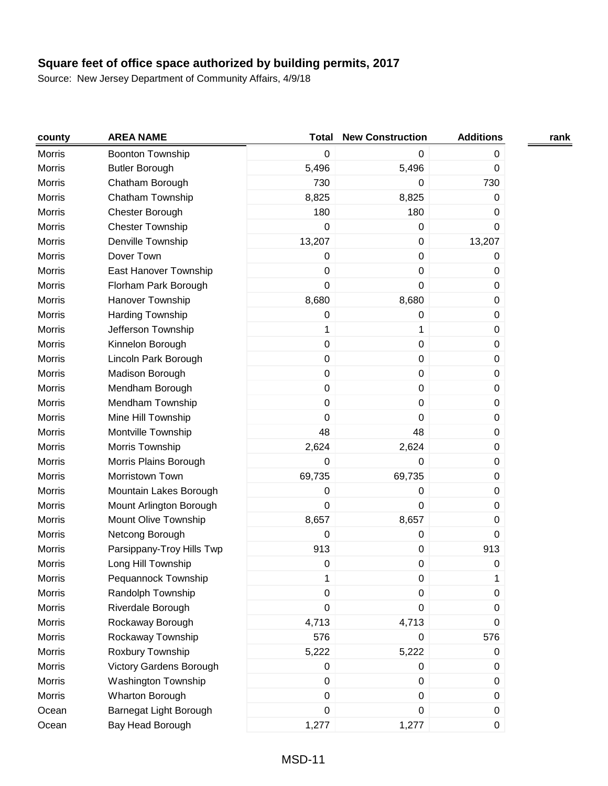| county        | <b>AREA NAME</b>          | <b>Total</b>     | <b>New Construction</b> | <b>Additions</b> | rank |
|---------------|---------------------------|------------------|-------------------------|------------------|------|
| Morris        | Boonton Township          | $\boldsymbol{0}$ | 0                       | $\pmb{0}$        |      |
| Morris        | <b>Butler Borough</b>     | 5,496            | 5,496                   | 0                |      |
| Morris        | Chatham Borough           | 730              | 0                       | 730              |      |
| Morris        | Chatham Township          | 8,825            | 8,825                   | 0                |      |
| Morris        | Chester Borough           | 180              | 180                     | 0                |      |
| Morris        | <b>Chester Township</b>   | 0                | 0                       | 0                |      |
| Morris        | Denville Township         | 13,207           | 0                       | 13,207           |      |
| Morris        | Dover Town                | $\boldsymbol{0}$ | 0                       | 0                |      |
| Morris        | East Hanover Township     | $\boldsymbol{0}$ | 0                       | $\pmb{0}$        |      |
| Morris        | Florham Park Borough      | $\mathbf 0$      | 0                       | $\pmb{0}$        |      |
| Morris        | Hanover Township          | 8,680            | 8,680                   | $\boldsymbol{0}$ |      |
| Morris        | Harding Township          | $\boldsymbol{0}$ | 0                       | $\pmb{0}$        |      |
| Morris        | Jefferson Township        | 1                | 1                       | $\pmb{0}$        |      |
| Morris        | Kinnelon Borough          | $\boldsymbol{0}$ | 0                       | $\pmb{0}$        |      |
| <b>Morris</b> | Lincoln Park Borough      | $\boldsymbol{0}$ | 0                       | $\pmb{0}$        |      |
| Morris        | Madison Borough           | $\boldsymbol{0}$ | 0                       | $\pmb{0}$        |      |
| Morris        | Mendham Borough           | $\mathbf 0$      | 0                       | 0                |      |
| Morris        | Mendham Township          | $\mathbf 0$      | 0                       | $\pmb{0}$        |      |
| Morris        | Mine Hill Township        | $\Omega$         | 0                       | 0                |      |
| <b>Morris</b> | Montville Township        | 48               | 48                      | $\pmb{0}$        |      |
| Morris        | Morris Township           | 2,624            | 2,624                   | $\pmb{0}$        |      |
| Morris        | Morris Plains Borough     | $\mathbf 0$      | 0                       | $\pmb{0}$        |      |
| Morris        | Morristown Town           | 69,735           | 69,735                  | $\pmb{0}$        |      |
| Morris        | Mountain Lakes Borough    | $\boldsymbol{0}$ | 0                       | $\pmb{0}$        |      |
| <b>Morris</b> | Mount Arlington Borough   | $\mathbf 0$      | 0                       | $\pmb{0}$        |      |
| <b>Morris</b> | Mount Olive Township      | 8,657            | 8,657                   | $\boldsymbol{0}$ |      |
| <b>Morris</b> | Netcong Borough           | $\mathbf 0$      | 0                       | 0                |      |
| <b>Morris</b> | Parsippany-Troy Hills Twp | 913              | 0                       | 913              |      |
| Morris        | Long Hill Township        | $\boldsymbol{0}$ | 0                       | 0                |      |
| <b>Morris</b> | Pequannock Township       | 1                | 0                       | 1                |      |
| <b>Morris</b> | Randolph Township         | 0                | 0                       | 0                |      |
| Morris        | Riverdale Borough         | $\mathbf 0$      | 0                       | 0                |      |
| Morris        | Rockaway Borough          | 4,713            | 4,713                   | 0                |      |
| <b>Morris</b> | Rockaway Township         | 576              | 0                       | 576              |      |
| Morris        | Roxbury Township          | 5,222            | 5,222                   | 0                |      |
| Morris        | Victory Gardens Borough   | 0                | 0                       | 0                |      |
| Morris        | Washington Township       | $\boldsymbol{0}$ | 0                       | $\pmb{0}$        |      |
| Morris        | Wharton Borough           | $\boldsymbol{0}$ | 0                       | $\pmb{0}$        |      |
| Ocean         | Barnegat Light Borough    | $\boldsymbol{0}$ | 0                       | $\pmb{0}$        |      |
| Ocean         | Bay Head Borough          | 1,277            | 1,277                   | $\pmb{0}$        |      |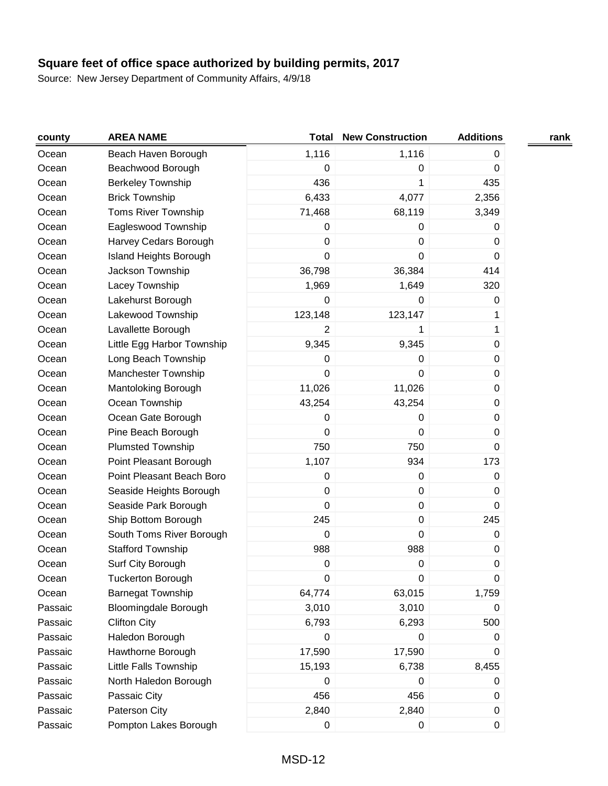| county  | <b>AREA NAME</b>              | <b>Total</b>     | <b>New Construction</b> | <b>Additions</b> | rank |
|---------|-------------------------------|------------------|-------------------------|------------------|------|
| Ocean   | Beach Haven Borough           | 1,116            | 1,116                   | 0                |      |
| Ocean   | Beachwood Borough             | 0                | 0                       | $\pmb{0}$        |      |
| Ocean   | <b>Berkeley Township</b>      | 436              | 1                       | 435              |      |
| Ocean   | <b>Brick Township</b>         | 6,433            | 4,077                   | 2,356            |      |
| Ocean   | Toms River Township           | 71,468           | 68,119                  | 3,349            |      |
| Ocean   | Eagleswood Township           | 0                | 0                       | 0                |      |
| Ocean   | Harvey Cedars Borough         | 0                | 0                       | 0                |      |
| Ocean   | <b>Island Heights Borough</b> | 0                | 0                       | 0                |      |
| Ocean   | Jackson Township              | 36,798           | 36,384                  | 414              |      |
| Ocean   | Lacey Township                | 1,969            | 1,649                   | 320              |      |
| Ocean   | Lakehurst Borough             | 0                | 0                       | 0                |      |
| Ocean   | Lakewood Township             | 123,148          | 123,147                 | 1                |      |
| Ocean   | Lavallette Borough            | $\overline{2}$   | 1                       | 1                |      |
| Ocean   | Little Egg Harbor Township    | 9,345            | 9,345                   | 0                |      |
| Ocean   | Long Beach Township           | 0                | 0                       | $\pmb{0}$        |      |
| Ocean   | <b>Manchester Township</b>    | 0                | 0                       | 0                |      |
| Ocean   | Mantoloking Borough           | 11,026           | 11,026                  | 0                |      |
| Ocean   | Ocean Township                | 43,254           | 43,254                  | 0                |      |
| Ocean   | Ocean Gate Borough            | 0                | 0                       | 0                |      |
| Ocean   | Pine Beach Borough            | 0                | 0                       | 0                |      |
| Ocean   | <b>Plumsted Township</b>      | 750              | 750                     | 0                |      |
| Ocean   | Point Pleasant Borough        | 1,107            | 934                     | 173              |      |
| Ocean   | Point Pleasant Beach Boro     | $\pmb{0}$        | $\pmb{0}$               | 0                |      |
| Ocean   | Seaside Heights Borough       | $\pmb{0}$        | $\pmb{0}$               | 0                |      |
| Ocean   | Seaside Park Borough          | $\mathbf 0$      | 0                       | 0                |      |
| Ocean   | Ship Bottom Borough           | 245              | 0                       | 245              |      |
| Ocean   | South Toms River Borough      | $\boldsymbol{0}$ | 0                       | 0                |      |
| Ocean   | <b>Stafford Township</b>      | 988              | 988                     | $\pmb{0}$        |      |
| Ocean   | Surf City Borough             | $\boldsymbol{0}$ | $\pmb{0}$               | $\pmb{0}$        |      |
| Ocean   | <b>Tuckerton Borough</b>      | 0                | 0                       | 0                |      |
| Ocean   | <b>Barnegat Township</b>      | 64,774           | 63,015                  | 1,759            |      |
| Passaic | <b>Bloomingdale Borough</b>   | 3,010            | 3,010                   | 0                |      |
| Passaic | <b>Clifton City</b>           | 6,793            | 6,293                   | 500              |      |
| Passaic | Haledon Borough               | 0                | 0                       | 0                |      |
| Passaic | Hawthorne Borough             | 17,590           | 17,590                  | 0                |      |
| Passaic | Little Falls Township         | 15,193           | 6,738                   | 8,455            |      |
| Passaic | North Haledon Borough         | 0                | 0                       | 0                |      |
| Passaic | Passaic City                  | 456              | 456                     | 0                |      |
| Passaic | Paterson City                 | 2,840            | 2,840                   | 0                |      |
| Passaic | Pompton Lakes Borough         | $\pmb{0}$        | 0                       | 0                |      |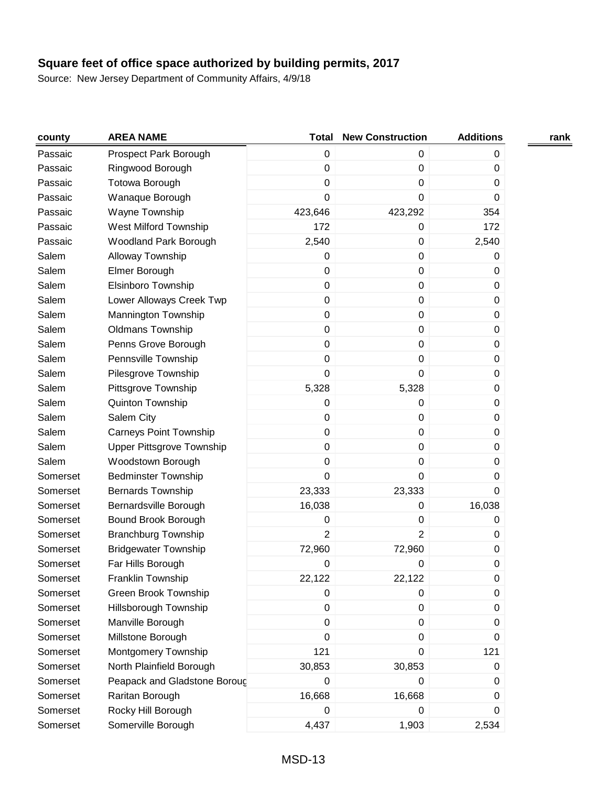| county   | <b>AREA NAME</b>                 | <b>Total</b>     | <b>New Construction</b> | <b>Additions</b> | rank |
|----------|----------------------------------|------------------|-------------------------|------------------|------|
| Passaic  | Prospect Park Borough            | $\boldsymbol{0}$ | 0                       | 0                |      |
| Passaic  | Ringwood Borough                 | $\boldsymbol{0}$ | $\pmb{0}$               | 0                |      |
| Passaic  | Totowa Borough                   | 0                | 0                       | 0                |      |
| Passaic  | Wanaque Borough                  | 0                | $\mathbf 0$             | $\Omega$         |      |
| Passaic  | Wayne Township                   | 423,646          | 423,292                 | 354              |      |
| Passaic  | West Milford Township            | 172              | $\mathsf 0$             | 172              |      |
| Passaic  | Woodland Park Borough            | 2,540            | $\pmb{0}$               | 2,540            |      |
| Salem    | Alloway Township                 | $\boldsymbol{0}$ | $\pmb{0}$               | 0                |      |
| Salem    | Elmer Borough                    | 0                | $\pmb{0}$               | 0                |      |
| Salem    | Elsinboro Township               | $\pmb{0}$        | $\pmb{0}$               | 0                |      |
| Salem    | Lower Alloways Creek Twp         | $\boldsymbol{0}$ | $\pmb{0}$               | 0                |      |
| Salem    | Mannington Township              | $\boldsymbol{0}$ | $\pmb{0}$               | 0                |      |
| Salem    | <b>Oldmans Township</b>          | 0                | $\pmb{0}$               | 0                |      |
| Salem    | Penns Grove Borough              | $\boldsymbol{0}$ | $\pmb{0}$               | 0                |      |
| Salem    | Pennsville Township              | 0                | $\pmb{0}$               | 0                |      |
| Salem    | Pilesgrove Township              | 0                | $\mathbf 0$             | 0                |      |
| Salem    | Pittsgrove Township              | 5,328            | 5,328                   | 0                |      |
| Salem    | Quinton Township                 | 0                | 0                       | 0                |      |
| Salem    | Salem City                       | $\pmb{0}$        | $\pmb{0}$               | 0                |      |
| Salem    | <b>Carneys Point Township</b>    | 0                | $\pmb{0}$               | 0                |      |
| Salem    | <b>Upper Pittsgrove Township</b> | 0                | $\pmb{0}$               | 0                |      |
| Salem    | Woodstown Borough                | 0                | $\pmb{0}$               | 0                |      |
| Somerset | <b>Bedminster Township</b>       | 0                | $\mathbf 0$             | 0                |      |
| Somerset | <b>Bernards Township</b>         | 23,333           | 23,333                  | $\mathbf 0$      |      |
| Somerset | Bernardsville Borough            | 16,038           | $\pmb{0}$               | 16,038           |      |
| Somerset | Bound Brook Borough              | 0                | $\pmb{0}$               | 0                |      |
| Somerset | <b>Branchburg Township</b>       | $\overline{2}$   | $\overline{2}$          | 0                |      |
| Somerset | <b>Bridgewater Township</b>      | 72,960           | 72,960                  | 0                |      |
| Somerset | Far Hills Borough                | 0                | 0                       | 0                |      |
| Somerset | Franklin Township                | 22,122           | 22,122                  | 0                |      |
| Somerset | <b>Green Brook Township</b>      | 0                | 0                       | 0                |      |
| Somerset | Hillsborough Township            | $\boldsymbol{0}$ | $\pmb{0}$               | 0                |      |
| Somerset | Manville Borough                 | $\boldsymbol{0}$ | $\pmb{0}$               | 0                |      |
| Somerset | Millstone Borough                | 0                | $\pmb{0}$               | 0                |      |
| Somerset | Montgomery Township              | 121              | $\pmb{0}$               | 121              |      |
| Somerset | North Plainfield Borough         | 30,853           | 30,853                  | 0                |      |
| Somerset | Peapack and Gladstone Boroug     | $\boldsymbol{0}$ | $\mathbf 0$             | 0                |      |
| Somerset | Raritan Borough                  | 16,668           | 16,668                  | 0                |      |
| Somerset | Rocky Hill Borough               | 0                | 0                       | 0                |      |
| Somerset | Somerville Borough               | 4,437            | 1,903                   | 2,534            |      |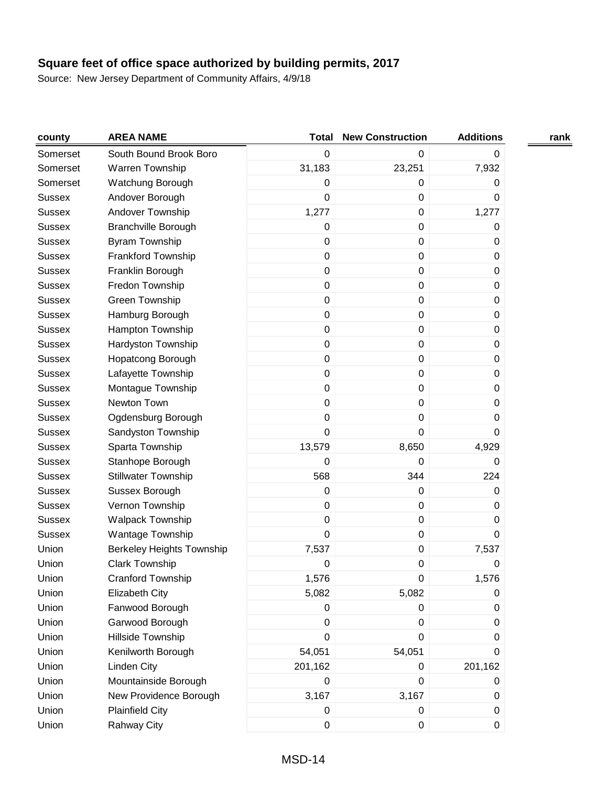| county        | <b>AREA NAME</b>                 | <b>Total</b>     | <b>New Construction</b> | <b>Additions</b> | rank |
|---------------|----------------------------------|------------------|-------------------------|------------------|------|
| Somerset      | South Bound Brook Boro           | $\mathbf 0$      | 0                       | 0                |      |
| Somerset      | Warren Township                  | 31,183           | 23,251                  | 7,932            |      |
| Somerset      | Watchung Borough                 | 0                | 0                       | 0                |      |
| <b>Sussex</b> | Andover Borough                  | $\boldsymbol{0}$ | 0                       | 0                |      |
| <b>Sussex</b> | Andover Township                 | 1,277            | 0                       | 1,277            |      |
| <b>Sussex</b> | <b>Branchville Borough</b>       | $\boldsymbol{0}$ | 0                       | 0                |      |
| <b>Sussex</b> | <b>Byram Township</b>            | $\boldsymbol{0}$ | 0                       | 0                |      |
| <b>Sussex</b> | Frankford Township               | $\pmb{0}$        | 0                       | $\boldsymbol{0}$ |      |
| <b>Sussex</b> | Franklin Borough                 | $\pmb{0}$        | 0                       | 0                |      |
| <b>Sussex</b> | Fredon Township                  | $\pmb{0}$        | 0                       | $\boldsymbol{0}$ |      |
| <b>Sussex</b> | Green Township                   | $\pmb{0}$        | 0                       | $\boldsymbol{0}$ |      |
| <b>Sussex</b> | Hamburg Borough                  | $\pmb{0}$        | 0                       | 0                |      |
| <b>Sussex</b> | Hampton Township                 | $\pmb{0}$        | $\mathsf 0$             | $\boldsymbol{0}$ |      |
| <b>Sussex</b> | <b>Hardyston Township</b>        | $\pmb{0}$        | 0                       | $\boldsymbol{0}$ |      |
| <b>Sussex</b> | Hopatcong Borough                | $\pmb{0}$        | $\mathsf 0$             | $\boldsymbol{0}$ |      |
| <b>Sussex</b> | Lafayette Township               | $\pmb{0}$        | 0                       | 0                |      |
| <b>Sussex</b> | Montague Township                | $\pmb{0}$        | 0                       | $\boldsymbol{0}$ |      |
| <b>Sussex</b> | Newton Town                      | $\boldsymbol{0}$ | 0                       | $\boldsymbol{0}$ |      |
| <b>Sussex</b> | Ogdensburg Borough               | $\mathbf 0$      | 0                       | 0                |      |
| <b>Sussex</b> | Sandyston Township               | $\mathbf 0$      | 0                       | 0                |      |
| <b>Sussex</b> | Sparta Township                  | 13,579           | 8,650                   | 4,929            |      |
| <b>Sussex</b> | Stanhope Borough                 | $\boldsymbol{0}$ | 0                       | 0                |      |
| <b>Sussex</b> | <b>Stillwater Township</b>       | 568              | 344                     | 224              |      |
| <b>Sussex</b> | Sussex Borough                   | $\mathbf 0$      | 0                       | $\boldsymbol{0}$ |      |
| <b>Sussex</b> | Vernon Township                  | $\pmb{0}$        | 0                       | 0                |      |
| <b>Sussex</b> | <b>Walpack Township</b>          | $\pmb{0}$        | $\mathsf 0$             | $\boldsymbol{0}$ |      |
| <b>Sussex</b> | Wantage Township                 | $\mathbf 0$      | 0                       | 0                |      |
| Union         | <b>Berkeley Heights Township</b> | 7,537            | $\mathsf 0$             | 7,537            |      |
| Union         | <b>Clark Township</b>            | 0                | 0                       | 0                |      |
| Union         | Cranford Township                | 1,576            | $\boldsymbol{0}$        | 1,576            |      |
| Union         | Elizabeth City                   | 5,082            | 5,082                   | 0                |      |
| Union         | Fanwood Borough                  | 0                | 0                       | 0                |      |
| Union         | Garwood Borough                  | $\boldsymbol{0}$ | 0                       | 0                |      |
| Union         | Hillside Township                | $\mathbf 0$      | 0                       | 0                |      |
| Union         | Kenilworth Borough               | 54,051           | 54,051                  | 0                |      |
| Union         | Linden City                      | 201,162          | 0                       | 201,162          |      |
| Union         | Mountainside Borough             | $\pmb{0}$        | 0                       | 0                |      |
| Union         | New Providence Borough           | 3,167            | 3,167                   | $\boldsymbol{0}$ |      |
| Union         | <b>Plainfield City</b>           | 0                | $\pmb{0}$               | $\pmb{0}$        |      |
| Union         | Rahway City                      | $\pmb{0}$        | 0                       | $\boldsymbol{0}$ |      |